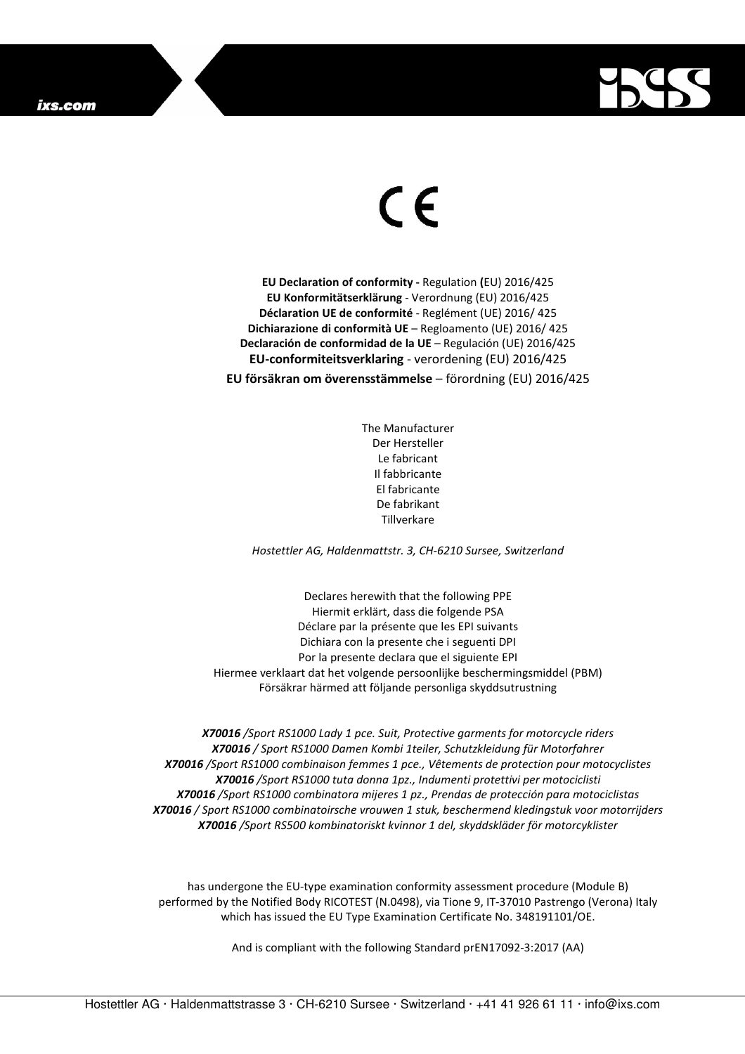

## $\in$

**EU Declaration of conformity -** Regulation **(**EU) 2016/425 **EU Konformitätserklärung** - Verordnung (EU) 2016/425 **Déclaration UE de conformité** - Reglément (UE) 2016/ 425 **Dichiarazione di conformità UE** – Regloamento (UE) 2016/ 425 **Declaración de conformidad de la UE** – Regulación (UE) 2016/425 **EU-conformiteitsverklaring** - verordening (EU) 2016/425 **EU försäkran om överensstämmelse** – förordning (EU) 2016/425

> The Manufacturer Der Hersteller Le fabricant Il fabbricante El fabricante De fabrikant **Tillverkare**

*Hostettler AG, Haldenmattstr. 3, CH-6210 Sursee, Switzerland* 

Declares herewith that the following PPE Hiermit erklärt, dass die folgende PSA Déclare par la présente que les EPI suivants Dichiara con la presente che i seguenti DPI Por la presente declara que el siguiente EPI Hiermee verklaart dat het volgende persoonlijke beschermingsmiddel (PBM) Försäkrar härmed att följande personliga skyddsutrustning

*X70016 /Sport RS1000 Lady 1 pce. Suit, Protective garments for motorcycle riders X70016 / Sport RS1000 Damen Kombi 1teiler, Schutzkleidung für Motorfahrer X70016 /Sport RS1000 combinaison femmes 1 pce., Vêtements de protection pour motocyclistes X70016 /Sport RS1000 tuta donna 1pz., Indumenti protettivi per motociclisti X70016 /Sport RS1000 combinatora mijeres 1 pz., Prendas de protección para motociclistas X70016 / Sport RS1000 combinatoirsche vrouwen 1 stuk, beschermend kledingstuk voor motorrijders X70016 /Sport RS500 kombinatoriskt kvinnor 1 del, skyddskläder för motorcyklister* 

has undergone the EU-type examination conformity assessment procedure (Module B) performed by the Notified Body RICOTEST (N.0498), via Tione 9, IT-37010 Pastrengo (Verona) Italy which has issued the EU Type Examination Certificate No. 348191101/OE.

And is compliant with the following Standard prEN17092-3:2017 (AA)